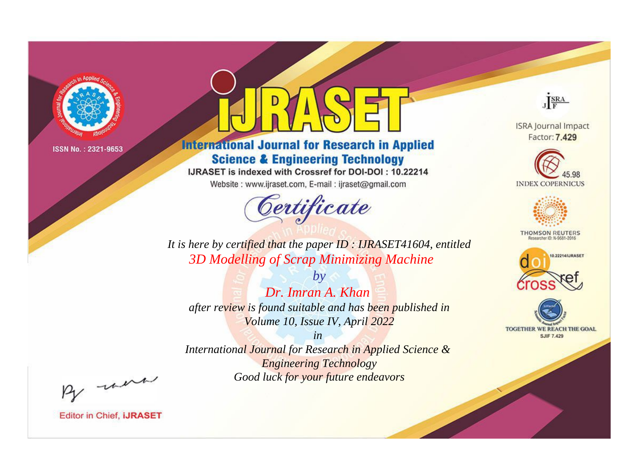

# **International Journal for Research in Applied Science & Engineering Technology**

IJRASET is indexed with Crossref for DOI-DOI: 10.22214

Website: www.ijraset.com, E-mail: ijraset@gmail.com



JERA

**ISRA Journal Impact** Factor: 7.429





**THOMSON REUTERS** 



TOGETHER WE REACH THE GOAL **SJIF 7.429** 

It is here by certified that the paper ID: IJRASET41604, entitled 3D Modelling of Scrap Minimizing Machine

Dr. Imran A. Khan after review is found suitable and has been published in Volume 10, Issue IV, April 2022

 $b\nu$ 

 $in$ International Journal for Research in Applied Science & **Engineering Technology** Good luck for your future endeavors

By morn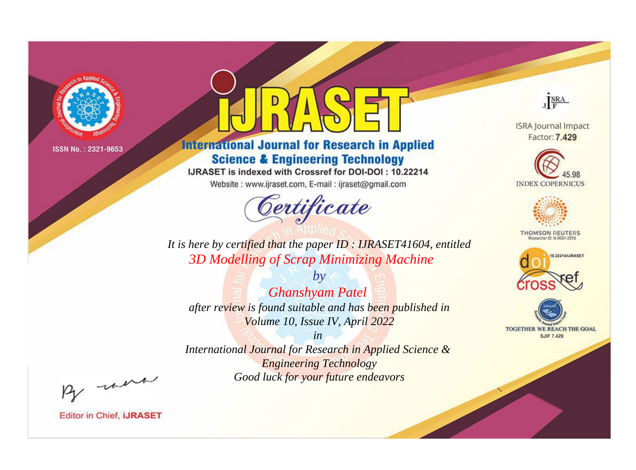

# **International Journal for Research in Applied Science & Engineering Technology**

IJRASET is indexed with Crossref for DOI-DOI: 10.22214

Website: www.ijraset.com, E-mail: ijraset@gmail.com



JERA

**ISRA Journal Impact** Factor: 7.429





**THOMSON REUTERS** 



TOGETHER WE REACH THE GOAL **SJIF 7.429** 

It is here by certified that the paper ID: IJRASET41604, entitled 3D Modelling of Scrap Minimizing Machine

**Ghanshyam Patel** after review is found suitable and has been published in Volume 10, Issue IV, April 2022

 $b\nu$ 

 $in$ International Journal for Research in Applied Science & **Engineering Technology** Good luck for your future endeavors

By morn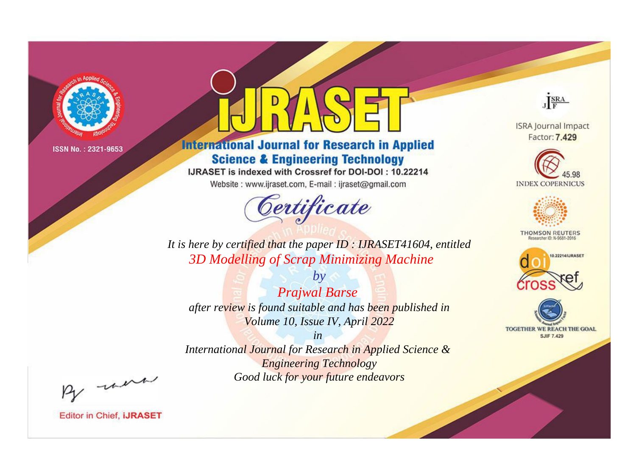

# **International Journal for Research in Applied Science & Engineering Technology**

IJRASET is indexed with Crossref for DOI-DOI: 10.22214

Website: www.ijraset.com, E-mail: ijraset@gmail.com



JERA

**ISRA Journal Impact** Factor: 7.429





**THOMSON REUTERS** 



TOGETHER WE REACH THE GOAL **SJIF 7.429** 

It is here by certified that the paper ID: IJRASET41604, entitled 3D Modelling of Scrap Minimizing Machine

**Prajwal Barse** after review is found suitable and has been published in Volume 10, Issue IV, April 2022

 $by$ 

 $in$ International Journal for Research in Applied Science & **Engineering Technology** Good luck for your future endeavors

By morn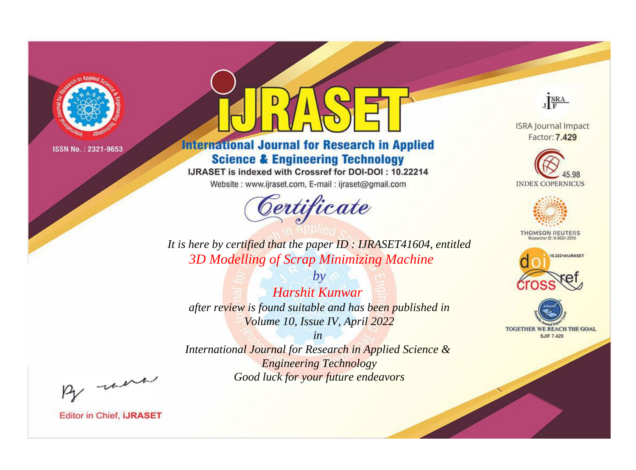

# **International Journal for Research in Applied Science & Engineering Technology**

IJRASET is indexed with Crossref for DOI-DOI: 10.22214

Website: www.ijraset.com, E-mail: ijraset@gmail.com



JERA

**ISRA Journal Impact** Factor: 7.429





**THOMSON REUTERS** 



TOGETHER WE REACH THE GOAL **SJIF 7.429** 

*It is here by certified that the paper ID : IJRASET41604, entitled 3D Modelling of Scrap Minimizing Machine*

*Harshit Kunwar after review is found suitable and has been published in Volume 10, Issue IV, April 2022*

*by*

*in* 

*International Journal for Research in Applied Science & Engineering Technology Good luck for your future endeavors*

By morn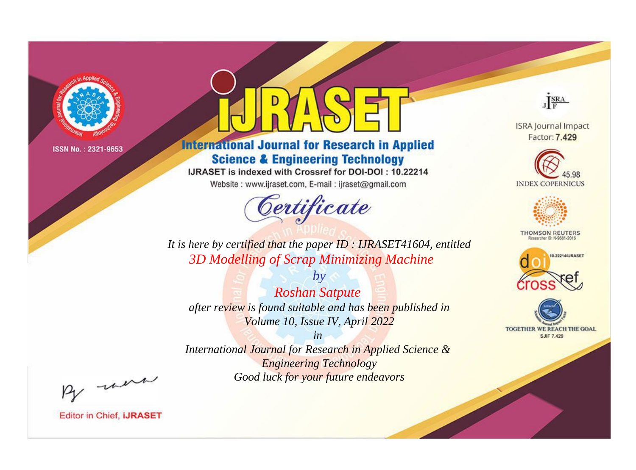

# **International Journal for Research in Applied Science & Engineering Technology**

IJRASET is indexed with Crossref for DOI-DOI: 10.22214

Website: www.ijraset.com, E-mail: ijraset@gmail.com



JERA

**ISRA Journal Impact** Factor: 7.429





**THOMSON REUTERS** 



TOGETHER WE REACH THE GOAL **SJIF 7.429** 

*It is here by certified that the paper ID : IJRASET41604, entitled 3D Modelling of Scrap Minimizing Machine*

*Roshan Satpute after review is found suitable and has been published in Volume 10, Issue IV, April 2022*

*by*

*in* 

*International Journal for Research in Applied Science & Engineering Technology Good luck for your future endeavors*

By morn